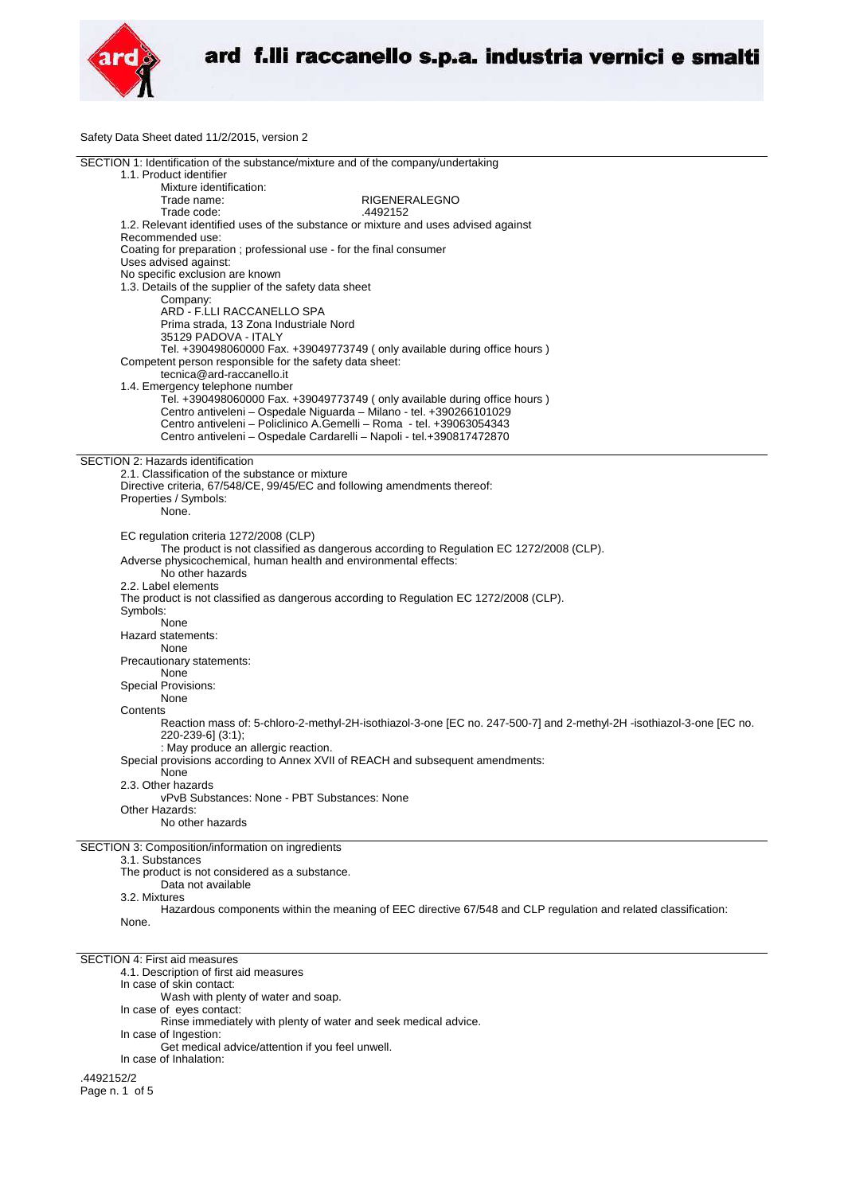

Safety Data Sheet dated 11/2/2015, version 2

| SECTION 1: Identification of the substance/mixture and of the company/undertaking                                    |
|----------------------------------------------------------------------------------------------------------------------|
| 1.1. Product identifier                                                                                              |
| Mixture identification:                                                                                              |
| Trade name:<br>RIGENERALEGNO                                                                                         |
| Trade code:<br>.4492152                                                                                              |
| 1.2. Relevant identified uses of the substance or mixture and uses advised against                                   |
| Recommended use:                                                                                                     |
|                                                                                                                      |
| Coating for preparation; professional use - for the final consumer                                                   |
| Uses advised against:                                                                                                |
| No specific exclusion are known                                                                                      |
| 1.3. Details of the supplier of the safety data sheet                                                                |
| Company:                                                                                                             |
| ARD - F.LLI RACCANELLO SPA                                                                                           |
| Prima strada, 13 Zona Industriale Nord                                                                               |
| 35129 PADOVA - ITALY                                                                                                 |
| Tel. +390498060000 Fax. +39049773749 ( only available during office hours )                                          |
| Competent person responsible for the safety data sheet:                                                              |
| tecnica@ard-raccanello.it                                                                                            |
|                                                                                                                      |
| 1.4. Emergency telephone number                                                                                      |
| Tel. +390498060000 Fax. +39049773749 (only available during office hours)                                            |
| Centro antiveleni - Ospedale Niguarda - Milano - tel. +390266101029                                                  |
| Centro antiveleni – Policlinico A.Gemelli – Roma - tel. +39063054343                                                 |
| Centro antiveleni - Ospedale Cardarelli - Napoli - tel.+390817472870                                                 |
|                                                                                                                      |
| SECTION 2: Hazards identification                                                                                    |
| 2.1. Classification of the substance or mixture                                                                      |
| Directive criteria, 67/548/CE, 99/45/EC and following amendments thereof:                                            |
| Properties / Symbols:                                                                                                |
| None.                                                                                                                |
|                                                                                                                      |
|                                                                                                                      |
| EC regulation criteria 1272/2008 (CLP)                                                                               |
| The product is not classified as dangerous according to Regulation EC 1272/2008 (CLP).                               |
| Adverse physicochemical, human health and environmental effects:                                                     |
| No other hazards                                                                                                     |
| 2.2. Label elements                                                                                                  |
| The product is not classified as dangerous according to Regulation EC 1272/2008 (CLP).                               |
| Symbols:                                                                                                             |
| None                                                                                                                 |
|                                                                                                                      |
| Hazard statements:                                                                                                   |
|                                                                                                                      |
| None                                                                                                                 |
| Precautionary statements:                                                                                            |
| None                                                                                                                 |
|                                                                                                                      |
| Special Provisions:                                                                                                  |
| None                                                                                                                 |
| Contents                                                                                                             |
| Reaction mass of: 5-chloro-2-methyl-2H-isothiazol-3-one [EC no. 247-500-7] and 2-methyl-2H -isothiazol-3-one [EC no. |
| 220-239-6] (3:1);                                                                                                    |
| : May produce an allergic reaction.                                                                                  |
| Special provisions according to Annex XVII of REACH and subsequent amendments:                                       |
| None                                                                                                                 |
| 2.3. Other hazards                                                                                                   |
| vPvB Substances: None - PBT Substances: None                                                                         |
| Other Hazards:                                                                                                       |
| No other hazards                                                                                                     |
|                                                                                                                      |
|                                                                                                                      |
| SECTION 3: Composition/information on ingredients                                                                    |
| 3.1. Substances                                                                                                      |
| The product is not considered as a substance.                                                                        |
| Data not available                                                                                                   |
| 3.2. Mixtures                                                                                                        |
| Hazardous components within the meaning of EEC directive 67/548 and CLP regulation and related classification:       |
| None.                                                                                                                |
|                                                                                                                      |
|                                                                                                                      |
| <b>SECTION 4: First aid measures</b>                                                                                 |
|                                                                                                                      |
| 4.1. Description of first aid measures                                                                               |
| In case of skin contact:                                                                                             |
| Wash with plenty of water and soap.                                                                                  |
| In case of eyes contact:                                                                                             |
| Rinse immediately with plenty of water and seek medical advice.                                                      |
| In case of Ingestion:                                                                                                |
| Get medical advice/attention if you feel unwell.                                                                     |
| In case of Inhalation:                                                                                               |
|                                                                                                                      |
| .4492152/2<br>Page n. 1 of 5                                                                                         |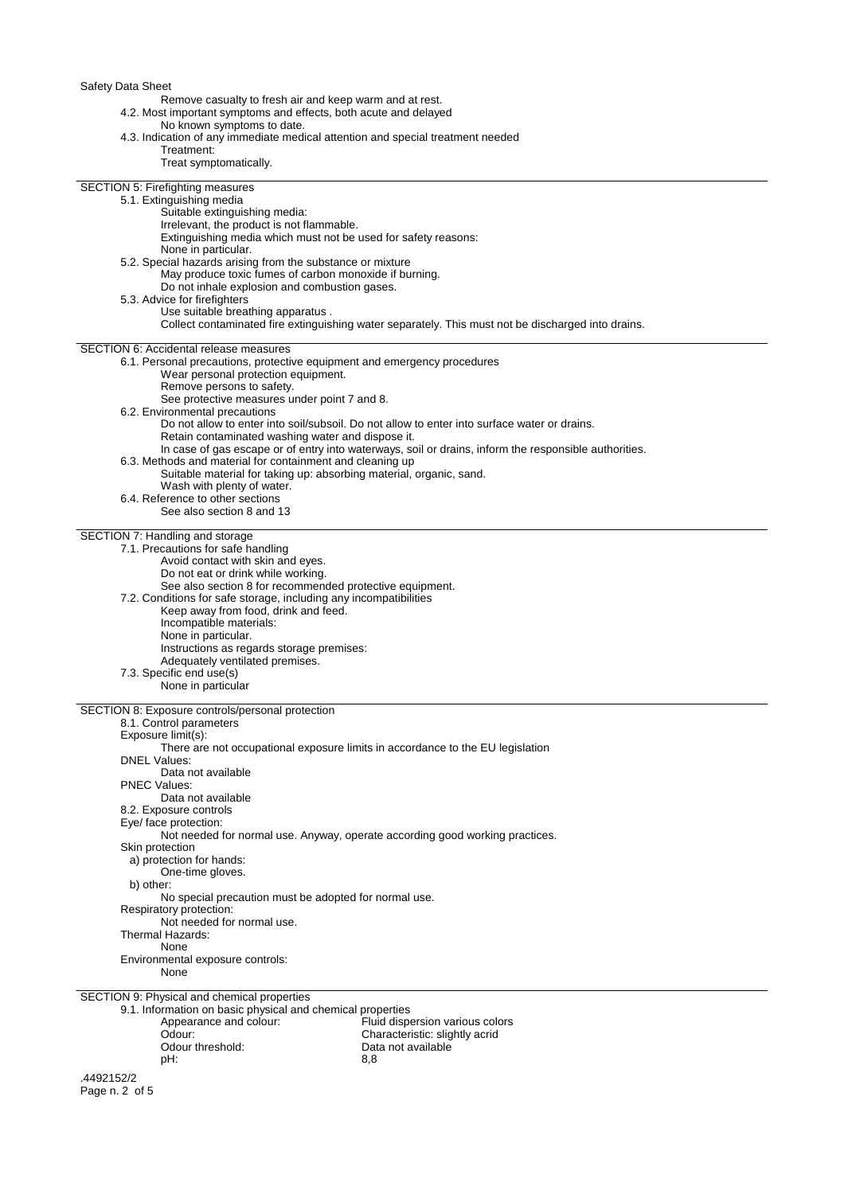Safety Data Sheet

Remove casualty to fresh air and keep warm and at rest.

4.2. Most important symptoms and effects, both acute and delayed

No known symptoms to date.

| 4.3. Indication of any immediate medical attention and special treatment needed                                           |                                                                                                       |
|---------------------------------------------------------------------------------------------------------------------------|-------------------------------------------------------------------------------------------------------|
| Treatment:<br>Treat symptomatically.                                                                                      |                                                                                                       |
|                                                                                                                           |                                                                                                       |
| SECTION 5: Firefighting measures                                                                                          |                                                                                                       |
| 5.1. Extinguishing media                                                                                                  |                                                                                                       |
| Suitable extinguishing media:<br>Irrelevant, the product is not flammable.                                                |                                                                                                       |
| Extinguishing media which must not be used for safety reasons:                                                            |                                                                                                       |
| None in particular.                                                                                                       |                                                                                                       |
| 5.2. Special hazards arising from the substance or mixture                                                                |                                                                                                       |
| May produce toxic fumes of carbon monoxide if burning.                                                                    |                                                                                                       |
| Do not inhale explosion and combustion gases.<br>5.3. Advice for firefighters                                             |                                                                                                       |
| Use suitable breathing apparatus.                                                                                         |                                                                                                       |
|                                                                                                                           | Collect contaminated fire extinguishing water separately. This must not be discharged into drains.    |
|                                                                                                                           |                                                                                                       |
| <b>SECTION 6: Accidental release measures</b><br>6.1. Personal precautions, protective equipment and emergency procedures |                                                                                                       |
| Wear personal protection equipment.                                                                                       |                                                                                                       |
| Remove persons to safety.                                                                                                 |                                                                                                       |
| See protective measures under point 7 and 8.                                                                              |                                                                                                       |
| 6.2. Environmental precautions                                                                                            |                                                                                                       |
| Retain contaminated washing water and dispose it.                                                                         | Do not allow to enter into soil/subsoil. Do not allow to enter into surface water or drains.          |
|                                                                                                                           | In case of gas escape or of entry into waterways, soil or drains, inform the responsible authorities. |
| 6.3. Methods and material for containment and cleaning up                                                                 |                                                                                                       |
| Suitable material for taking up: absorbing material, organic, sand.                                                       |                                                                                                       |
| Wash with plenty of water.                                                                                                |                                                                                                       |
| 6.4. Reference to other sections                                                                                          |                                                                                                       |
| See also section 8 and 13                                                                                                 |                                                                                                       |
| SECTION 7: Handling and storage                                                                                           |                                                                                                       |
| 7.1. Precautions for safe handling                                                                                        |                                                                                                       |
| Avoid contact with skin and eyes.                                                                                         |                                                                                                       |
| Do not eat or drink while working.<br>See also section 8 for recommended protective equipment.                            |                                                                                                       |
| 7.2. Conditions for safe storage, including any incompatibilities                                                         |                                                                                                       |
| Keep away from food, drink and feed.                                                                                      |                                                                                                       |
| Incompatible materials:                                                                                                   |                                                                                                       |
| None in particular.                                                                                                       |                                                                                                       |
| Instructions as regards storage premises:<br>Adequately ventilated premises.                                              |                                                                                                       |
| 7.3. Specific end use(s)                                                                                                  |                                                                                                       |
| None in particular                                                                                                        |                                                                                                       |
|                                                                                                                           |                                                                                                       |
| SECTION 8: Exposure controls/personal protection<br>8.1. Control parameters                                               |                                                                                                       |
| Exposure limit(s):                                                                                                        |                                                                                                       |
| There are not occupational exposure limits in accordance to the EU legislation                                            |                                                                                                       |
| <b>DNEL Values:</b>                                                                                                       |                                                                                                       |
| Data not available                                                                                                        |                                                                                                       |
| <b>PNEC Values:</b><br>Data not available                                                                                 |                                                                                                       |
| 8.2. Exposure controls                                                                                                    |                                                                                                       |
| Eye/ face protection:                                                                                                     |                                                                                                       |
|                                                                                                                           | Not needed for normal use. Anyway, operate according good working practices.                          |
| Skin protection                                                                                                           |                                                                                                       |
| a) protection for hands:                                                                                                  |                                                                                                       |
| One-time gloves.<br>b) other:                                                                                             |                                                                                                       |
| No special precaution must be adopted for normal use.                                                                     |                                                                                                       |
| Respiratory protection:                                                                                                   |                                                                                                       |
| Not needed for normal use.                                                                                                |                                                                                                       |
| Thermal Hazards:                                                                                                          |                                                                                                       |
| None<br>Environmental exposure controls:                                                                                  |                                                                                                       |
| None                                                                                                                      |                                                                                                       |
|                                                                                                                           |                                                                                                       |
| SECTION 9: Physical and chemical properties<br>9.1. Information on basic physical and chemical properties                 |                                                                                                       |
| Appearance and colour:                                                                                                    | Fluid dispersion various colors                                                                       |
| Odour:                                                                                                                    | Characteristic: slightly acrid                                                                        |
| Odour threshold:                                                                                                          | Data not available                                                                                    |

pH: 8,8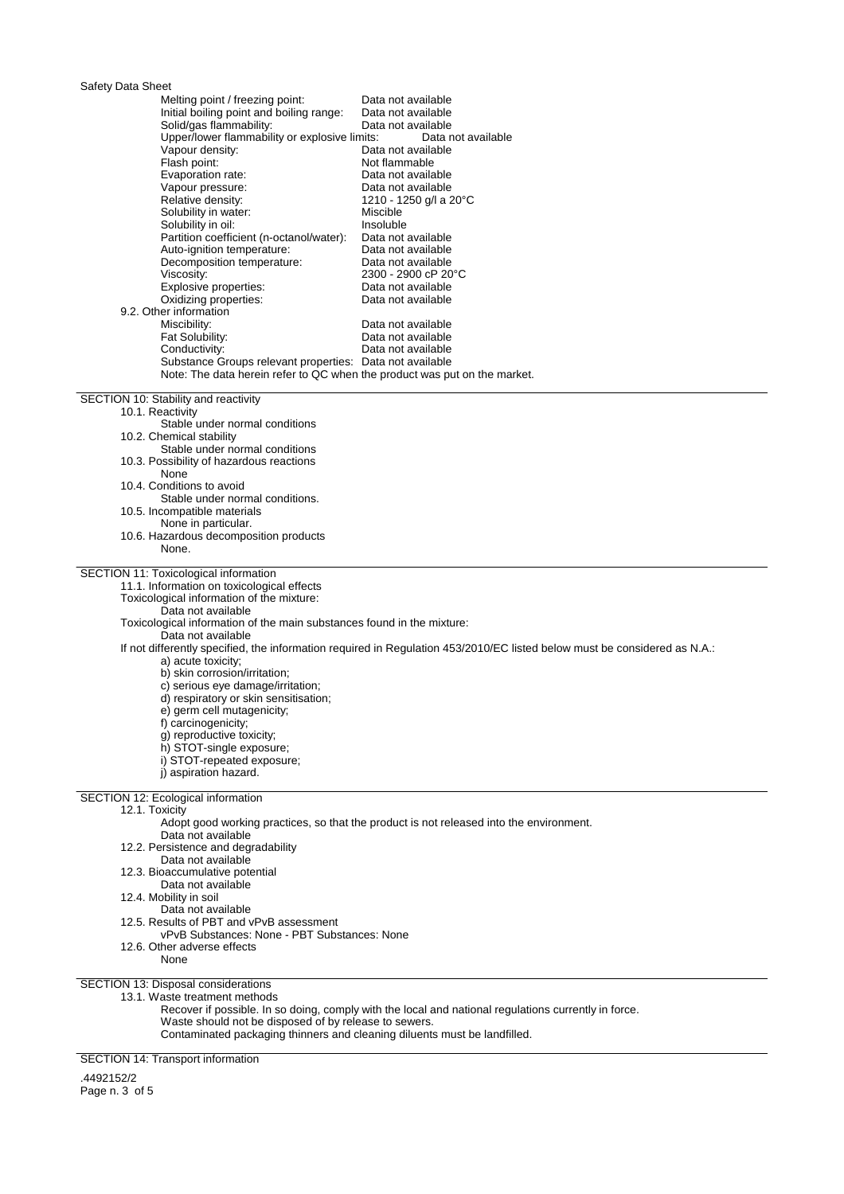## Safety Data Sheet

| Jaiciy Dala Olicci                                                                           |                                                                                                                           |
|----------------------------------------------------------------------------------------------|---------------------------------------------------------------------------------------------------------------------------|
| Melting point / freezing point:                                                              | Data not available                                                                                                        |
| Initial boiling point and boiling range:                                                     | Data not available                                                                                                        |
| Solid/gas flammability:<br>Upper/lower flammability or explosive limits:                     | Data not available                                                                                                        |
| Vapour density:                                                                              | Data not available<br>Data not available                                                                                  |
| Flash point:                                                                                 | Not flammable                                                                                                             |
| Evaporation rate:                                                                            | Data not available                                                                                                        |
| Vapour pressure:                                                                             | Data not available                                                                                                        |
| Relative density:                                                                            | 1210 - 1250 g/l a 20°C                                                                                                    |
| Solubility in water:                                                                         | Miscible                                                                                                                  |
| Solubility in oil:                                                                           | Insoluble                                                                                                                 |
| Partition coefficient (n-octanol/water):<br>Auto-ignition temperature:                       | Data not available<br>Data not available                                                                                  |
| Decomposition temperature:                                                                   | Data not available                                                                                                        |
| Viscosity:                                                                                   | 2300 - 2900 cP 20°C                                                                                                       |
| Explosive properties:                                                                        | Data not available                                                                                                        |
| Oxidizing properties:                                                                        | Data not available                                                                                                        |
| 9.2. Other information                                                                       |                                                                                                                           |
| Miscibility:<br>Fat Solubility:                                                              | Data not available<br>Data not available                                                                                  |
| Conductivity:                                                                                | Data not available                                                                                                        |
| Substance Groups relevant properties: Data not available                                     |                                                                                                                           |
| Note: The data herein refer to QC when the product was put on the market.                    |                                                                                                                           |
|                                                                                              |                                                                                                                           |
| SECTION 10: Stability and reactivity                                                         |                                                                                                                           |
| 10.1. Reactivity                                                                             |                                                                                                                           |
| Stable under normal conditions<br>10.2. Chemical stability                                   |                                                                                                                           |
| Stable under normal conditions                                                               |                                                                                                                           |
| 10.3. Possibility of hazardous reactions                                                     |                                                                                                                           |
| None                                                                                         |                                                                                                                           |
| 10.4. Conditions to avoid                                                                    |                                                                                                                           |
| Stable under normal conditions.                                                              |                                                                                                                           |
| 10.5. Incompatible materials                                                                 |                                                                                                                           |
| None in particular.<br>10.6. Hazardous decomposition products                                |                                                                                                                           |
| None.                                                                                        |                                                                                                                           |
|                                                                                              |                                                                                                                           |
| SECTION 11: Toxicological information                                                        |                                                                                                                           |
| 11.1. Information on toxicological effects                                                   |                                                                                                                           |
| Toxicological information of the mixture:                                                    |                                                                                                                           |
| Data not available<br>Toxicological information of the main substances found in the mixture: |                                                                                                                           |
| Data not available                                                                           |                                                                                                                           |
|                                                                                              | If not differently specified, the information required in Regulation 453/2010/EC listed below must be considered as N.A.: |
| a) acute toxicity;                                                                           |                                                                                                                           |
| b) skin corrosion/irritation;                                                                |                                                                                                                           |
| c) serious eye damage/irritation;                                                            |                                                                                                                           |
| d) respiratory or skin sensitisation;<br>e) germ cell mutagenicity;                          |                                                                                                                           |
| f) carcinogenicity;                                                                          |                                                                                                                           |
| g) reproductive toxicity;                                                                    |                                                                                                                           |
| h) STOT-single exposure;                                                                     |                                                                                                                           |
| i) STOT-repeated exposure;                                                                   |                                                                                                                           |
| j) aspiration hazard.                                                                        |                                                                                                                           |
|                                                                                              |                                                                                                                           |
| <b>SECTION 12: Ecological information</b><br>12.1. Toxicity                                  |                                                                                                                           |
|                                                                                              | Adopt good working practices, so that the product is not released into the environment.                                   |
| Data not available                                                                           |                                                                                                                           |
| 12.2. Persistence and degradability                                                          |                                                                                                                           |
| Data not available                                                                           |                                                                                                                           |
| 12.3. Bioaccumulative potential                                                              |                                                                                                                           |
| Data not available                                                                           |                                                                                                                           |
| 12.4. Mobility in soil<br>Data not available                                                 |                                                                                                                           |
| 12.5. Results of PBT and vPvB assessment                                                     |                                                                                                                           |
| vPvB Substances: None - PBT Substances: None                                                 |                                                                                                                           |
| 12.6. Other adverse effects                                                                  |                                                                                                                           |
| None                                                                                         |                                                                                                                           |
|                                                                                              |                                                                                                                           |
| SECTION 13: Disposal considerations<br>13.1. Waste treatment methods                         |                                                                                                                           |
|                                                                                              | Recover if possible. In so doing, comply with the local and national regulations currently in force.                      |
| Waste should not be disposed of by release to sewers.                                        |                                                                                                                           |
| Contaminated packaging thinners and cleaning diluents must be landfilled.                    |                                                                                                                           |

SECTION 14: Transport information

.4492152/2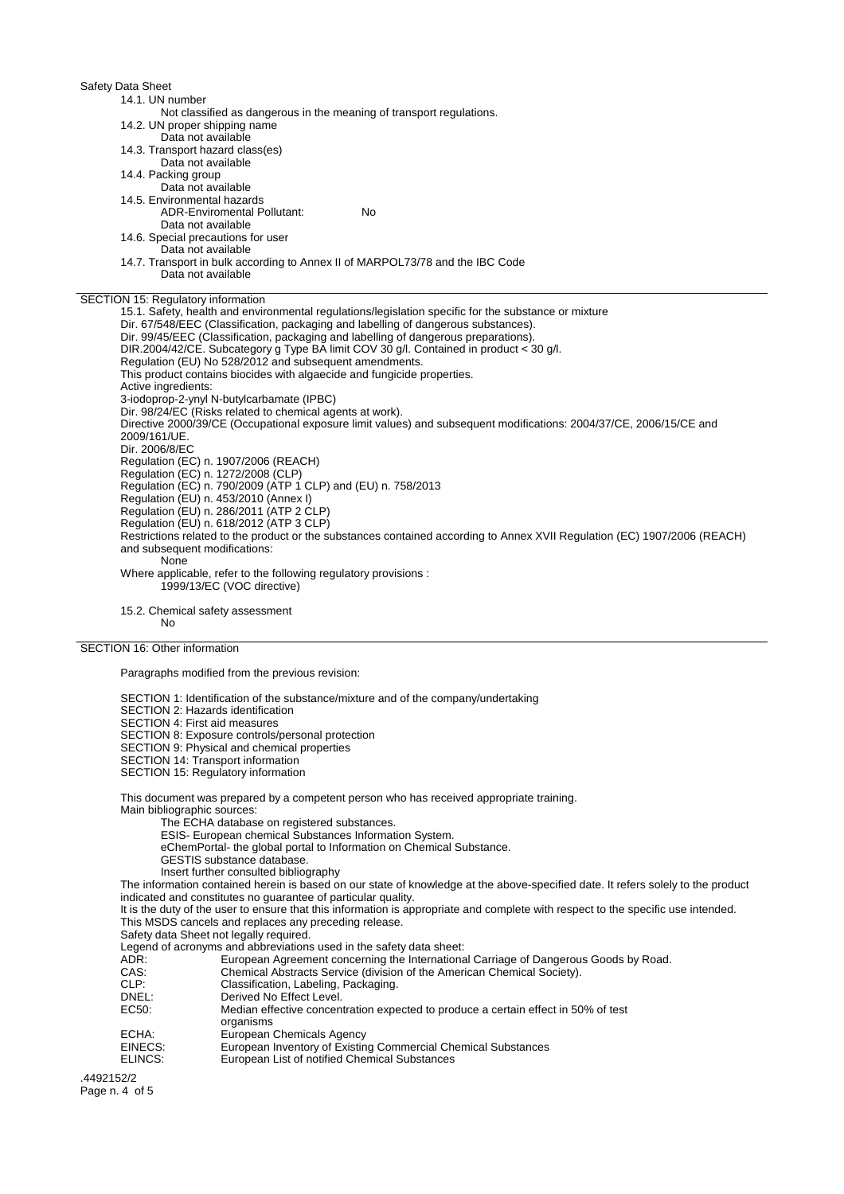Safety Data Sheet 14.1. UN number Not classified as dangerous in the meaning of transport regulations. 14.2. UN proper shipping name Data not available 14.3. Transport hazard class(es) Data not available 14.4. Packing group Data not available 14.5. Environmental hazards ADR-Enviromental Pollutant: No Data not available 14.6. Special precautions for user Data not available 14.7. Transport in bulk according to Annex II of MARPOL73/78 and the IBC Code Data not available SECTION 15: Regulatory information 15.1. Safety, health and environmental regulations/legislation specific for the substance or mixture Dir. 67/548/EEC (Classification, packaging and labelling of dangerous substances). Dir. 99/45/EEC (Classification, packaging and labelling of dangerous preparations). DIR.2004/42/CE. Subcategory g Type BA limit COV 30 g/l. Contained in product < 30 g/l. Regulation (EU) No 528/2012 and subsequent amendments. This product contains biocides with algaecide and fungicide properties. Active ingredients: 3-iodoprop-2-ynyl N-butylcarbamate (IPBC) Dir. 98/24/EC (Risks related to chemical agents at work). Directive 2000/39/CE (Occupational exposure limit values) and subsequent modifications: 2004/37/CE, 2006/15/CE and 2009/161/UE. Dir. 2006/8/EC Regulation (EC) n. 1907/2006 (REACH) Regulation (EC) n. 1272/2008 (CLP) Regulation (EC) n. 790/2009 (ATP 1 CLP) and (EU) n. 758/2013 Regulation (EU) n. 453/2010 (Annex I) Regulation (EU) n. 286/2011 (ATP 2 CLP) Regulation (EU) n. 618/2012 (ATP 3 CLP) Restrictions related to the product or the substances contained according to Annex XVII Regulation (EC) 1907/2006 (REACH) and subsequent modifications: None Where applicable, refer to the following regulatory provisions : 1999/13/EC (VOC directive) 15.2. Chemical safety assessment No

SECTION 16: Other information

Paragraphs modified from the previous revision:

SECTION 1: Identification of the substance/mixture and of the company/undertaking

SECTION 2: Hazards identification

SECTION 4: First aid measures

SECTION 8: Exposure controls/personal protection

SECTION 9: Physical and chemical properties

SECTION 14: Transport information

SECTION 15: Regulatory information

This document was prepared by a competent person who has received appropriate training.

Main bibliographic sources:

The ECHA database on registered substances.

ESIS- European chemical Substances Information System.

eChemPortal- the global portal to Information on Chemical Substance.

GESTIS substance database.

Insert further consulted bibliography

The information contained herein is based on our state of knowledge at the above-specified date. It refers solely to the product indicated and constitutes no guarantee of particular quality.

It is the duty of the user to ensure that this information is appropriate and complete with respect to the specific use intended. This MSDS cancels and replaces any preceding release.

Safety data Sheet not legally required.

Legend of acronyms and abbreviations used in the safety data sheet:

ADR: European Agreement concerning the International Carriage of Dangerous Goods by Road.<br>CAS: Chemical Abstracts Service (division of the American Chemical Society).

CAS: Chemical Abstracts Service (division of the American Chemical Society).<br>CLP: Classification, Labeling, Packaging.

- CLP: Classification, Labeling, Packaging.<br>
Derived No Effect Level
- Derived No Effect Level.
- EC50: Median effective concentration expected to produce a certain effect in 50% of test organisms
- 
- ECHA: European Chemicals Agency<br>EINECS: European Inventory of Existin EINECS: European Inventory of Existing Commercial Chemical Substances<br>ELINCS: European List of notified Chemical Substances
- European List of notified Chemical Substances

.4492152/2 Page n. 4 of 5